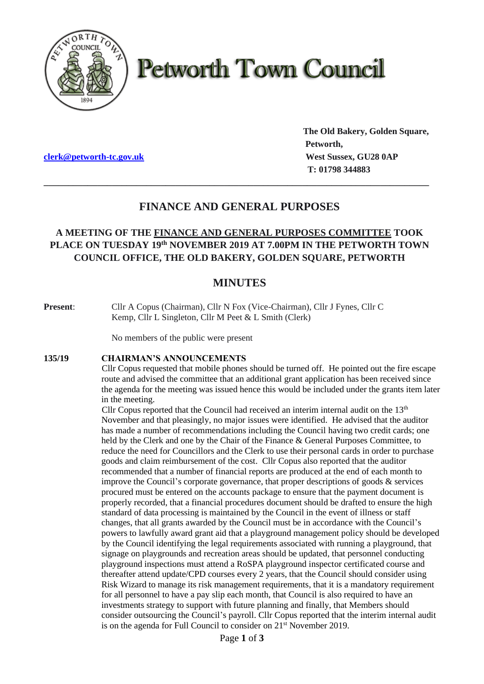

# **Petworth Town Council**

**[clerk@petworth-tc.gov.uk](mailto:clerk@petworth-tc.gov.uk) West Sussex, GU28 0AP**

**The Old Bakery, Golden Square, Petworth, T: 01798 344883**

# **FINANCE AND GENERAL PURPOSES**

**\_\_\_\_\_\_\_\_\_\_\_\_\_\_\_\_\_\_\_\_\_\_\_\_\_\_\_\_\_\_\_\_\_\_\_\_\_\_\_\_\_\_\_\_\_\_\_\_\_\_\_\_\_\_\_\_\_\_\_\_\_\_\_\_\_\_\_\_\_\_\_\_\_\_\_\_\_\_\_**

# **A MEETING OF THE FINANCE AND GENERAL PURPOSES COMMITTEE TOOK PLACE ON TUESDAY 19 th NOVEMBER 2019 AT 7.00PM IN THE PETWORTH TOWN COUNCIL OFFICE, THE OLD BAKERY, GOLDEN SQUARE, PETWORTH**

# **MINUTES**

**Present**: Cllr A Copus (Chairman), Cllr N Fox (Vice-Chairman), Cllr J Fynes, Cllr C Kemp, Cllr L Singleton, Cllr M Peet & L Smith (Clerk)

No members of the public were present

#### **135/19 CHAIRMAN'S ANNOUNCEMENTS**

Cllr Copus requested that mobile phones should be turned off. He pointed out the fire escape route and advised the committee that an additional grant application has been received since the agenda for the meeting was issued hence this would be included under the grants item later in the meeting.

Cllr Copus reported that the Council had received an interim internal audit on the  $13<sup>th</sup>$ November and that pleasingly, no major issues were identified. He advised that the auditor has made a number of recommendations including the Council having two credit cards; one held by the Clerk and one by the Chair of the Finance & General Purposes Committee, to reduce the need for Councillors and the Clerk to use their personal cards in order to purchase goods and claim reimbursement of the cost. Cllr Copus also reported that the auditor recommended that a number of financial reports are produced at the end of each month to improve the Council's corporate governance, that proper descriptions of goods & services procured must be entered on the accounts package to ensure that the payment document is properly recorded, that a financial procedures document should be drafted to ensure the high standard of data processing is maintained by the Council in the event of illness or staff changes, that all grants awarded by the Council must be in accordance with the Council's powers to lawfully award grant aid that a playground management policy should be developed by the Council identifying the legal requirements associated with running a playground, that signage on playgrounds and recreation areas should be updated, that personnel conducting playground inspections must attend a RoSPA playground inspector certificated course and thereafter attend update/CPD courses every 2 years, that the Council should consider using Risk Wizard to manage its risk management requirements, that it is a mandatory requirement for all personnel to have a pay slip each month, that Council is also required to have an investments strategy to support with future planning and finally, that Members should consider outsourcing the Council's payroll. Cllr Copus reported that the interim internal audit is on the agenda for Full Council to consider on 21<sup>st</sup> November 2019.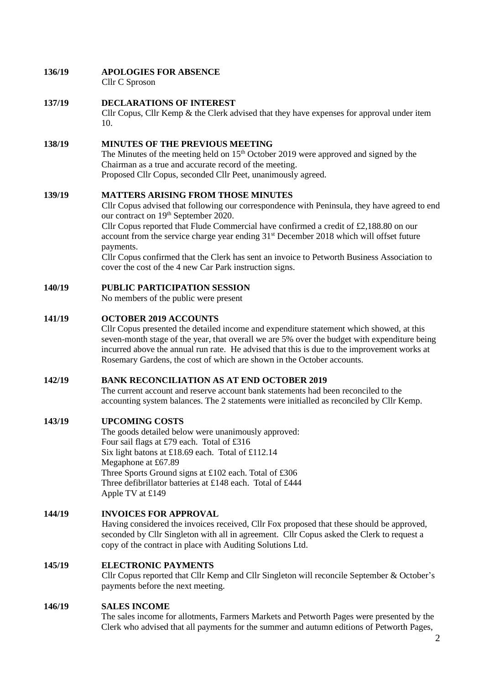# **136/19 APOLOGIES FOR ABSENCE**

Cllr C Sproson

#### **137/19 DECLARATIONS OF INTEREST**

Cllr Copus, Cllr Kemp & the Clerk advised that they have expenses for approval under item 10.

### **138/19 MINUTES OF THE PREVIOUS MEETING**

The Minutes of the meeting held on  $15<sup>th</sup>$  October 2019 were approved and signed by the Chairman as a true and accurate record of the meeting. Proposed Cllr Copus, seconded Cllr Peet, unanimously agreed.

#### **139/19 MATTERS ARISING FROM THOSE MINUTES**

Cllr Copus advised that following our correspondence with Peninsula, they have agreed to end our contract on 19<sup>th</sup> September 2020.

Cllr Copus reported that Flude Commercial have confirmed a credit of £2,188.80 on our account from the service charge year ending  $31<sup>st</sup>$  December 2018 which will offset future payments.

Cllr Copus confirmed that the Clerk has sent an invoice to Petworth Business Association to cover the cost of the 4 new Car Park instruction signs.

#### **140/19 PUBLIC PARTICIPATION SESSION**

No members of the public were present

#### **141/19 OCTOBER 2019 ACCOUNTS**

Cllr Copus presented the detailed income and expenditure statement which showed, at this seven-month stage of the year, that overall we are 5% over the budget with expenditure being incurred above the annual run rate. He advised that this is due to the improvement works at Rosemary Gardens, the cost of which are shown in the October accounts.

#### **142/19 BANK RECONCILIATION AS AT END OCTOBER 2019**

The current account and reserve account bank statements had been reconciled to the accounting system balances. The 2 statements were initialled as reconciled by Cllr Kemp.

#### **143/19 UPCOMING COSTS**

The goods detailed below were unanimously approved: Four sail flags at £79 each. Total of £316 Six light batons at £18.69 each. Total of £112.14 Megaphone at £67.89 Three Sports Ground signs at £102 each. Total of £306 Three defibrillator batteries at £148 each. Total of £444 Apple TV at £149

# **144/19 INVOICES FOR APPROVAL**

Having considered the invoices received, Cllr Fox proposed that these should be approved, seconded by Cllr Singleton with all in agreement. Cllr Copus asked the Clerk to request a copy of the contract in place with Auditing Solutions Ltd.

### **145/19 ELECTRONIC PAYMENTS**

Cllr Copus reported that Cllr Kemp and Cllr Singleton will reconcile September & October's payments before the next meeting.

#### **146/19 SALES INCOME**

The sales income for allotments, Farmers Markets and Petworth Pages were presented by the Clerk who advised that all payments for the summer and autumn editions of Petworth Pages,